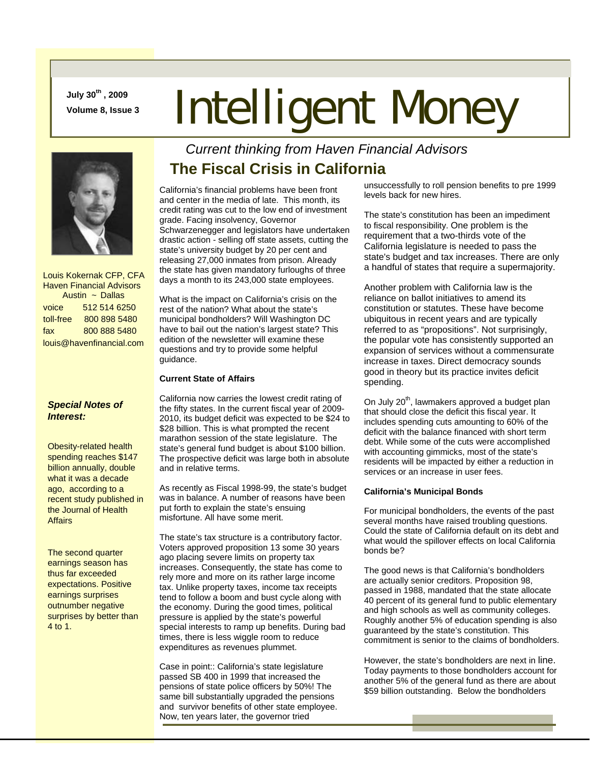**July 30th , 2009** 

# **July 30", 2009**<br>Volume 8, Issue 3 **Intelligent Money**



 Louis Kokernak CFP, CFA Haven Financial Advisors Austin ~ Dallas voice 512 514 6250 toll-free 800 898 5480 fax 800 888 5480 louis@havenfinancial.com

#### *Special Notes of Interest:*

Obesity-related health spending reaches \$147 billion annually, double what it was a decade ago, according to a recent study published in the Journal of Health Affairs

The second quarter earnings season has thus far exceeded expectations. Positive earnings surprises outnumber negative surprises by better than 4 to 1.

## *Current thinking from Haven Financial Advisors*  **The Fiscal Crisis in California**

California's financial problems have been front and center in the media of late. This month, its credit rating was cut to the low end of investment grade. Facing insolvency, Governor Schwarzenegger and legislators have undertaken drastic action - selling off state assets, cutting the state's university budget by 20 per cent and releasing 27,000 inmates from prison. Already the state has given mandatory furloughs of three days a month to its 243,000 state employees.

What is the impact on California's crisis on the rest of the nation? What about the state's municipal bondholders? Will Washington DC have to bail out the nation's largest state? This edition of the newsletter will examine these questions and try to provide some helpful guidance.

#### **Current State of Affairs**

California now carries the lowest credit rating of the fifty states. In the current fiscal year of 2009- 2010, its budget deficit was expected to be \$24 to \$28 billion. This is what prompted the recent marathon session of the state legislature. The state's general fund budget is about \$100 billion. The prospective deficit was large both in absolute and in relative terms.

As recently as Fiscal 1998-99, the state's budget was in balance. A number of reasons have been put forth to explain the state's ensuing misfortune. All have some merit.

The state's tax structure is a contributory factor. Voters approved proposition 13 some 30 years ago placing severe limits on property tax increases. Consequently, the state has come to rely more and more on its rather large income tax. Unlike property taxes, income tax receipts tend to follow a boom and bust cycle along with the economy. During the good times, political pressure is applied by the state's powerful special interests to ramp up benefits. During bad times, there is less wiggle room to reduce expenditures as revenues plummet.

Case in point:: California's state legislature passed SB 400 in 1999 that increased the pensions of state police officers by 50%! The same bill substantially upgraded the pensions and survivor benefits of other state employee. Now, ten years later, the governor tried

unsuccessfully to roll pension benefits to pre 1999 levels back for new hires.

The state's constitution has been an impediment to fiscal responsibility. One problem is the requirement that a two-thirds vote of the California legislature is needed to pass the state's budget and tax increases. There are only a handful of states that require a supermajority.

Another problem with California law is the reliance on ballot initiatives to amend its constitution or statutes. These have become ubiquitous in recent years and are typically referred to as "propositions". Not surprisingly, the popular vote has consistently supported an expansion of services without a commensurate increase in taxes. Direct democracy sounds good in theory but its practice invites deficit spending.

On July 20<sup>th</sup>, lawmakers approved a budget plan that should close the deficit this fiscal year. It includes spending cuts amounting to 60% of the deficit with the balance financed with short term debt. While some of the cuts were accomplished with accounting gimmicks, most of the state's residents will be impacted by either a reduction in services or an increase in user fees.

#### **California's Municipal Bonds**

For municipal bondholders, the events of the past several months have raised troubling questions. Could the state of California default on its debt and what would the spillover effects on local California bonds be?

The good news is that California's bondholders are actually senior creditors. Proposition 98, passed in 1988, mandated that the state allocate 40 percent of its general fund to public elementary and high schools as well as community colleges. Roughly another 5% of education spending is also guaranteed by the state's constitution. This commitment is senior to the claims of bondholders.

However, the state's bondholders are next in line. Today payments to those bondholders account for another 5% of the general fund as there are about \$59 billion outstanding. Below the bondholders